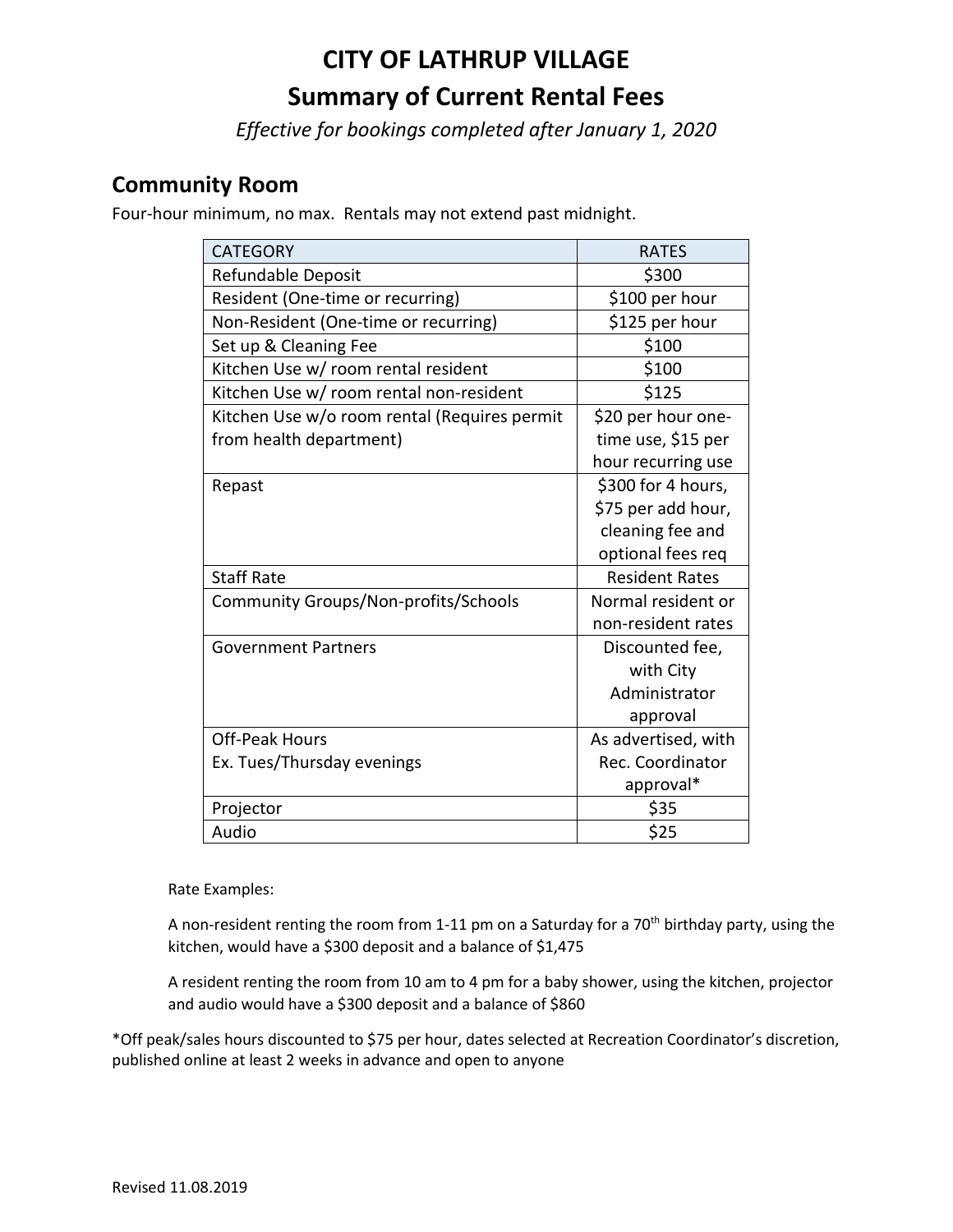# **CITY OF LATHRUP VILLAGE Summary of Current Rental Fees**

*Effective for bookings completed after January 1, 2020*

#### **Community Room**

Four-hour minimum, no max. Rentals may not extend past midnight.

| <b>CATEGORY</b>                              | <b>RATES</b>          |
|----------------------------------------------|-----------------------|
| Refundable Deposit                           | \$300                 |
| Resident (One-time or recurring)             | \$100 per hour        |
| Non-Resident (One-time or recurring)         | \$125 per hour        |
| Set up & Cleaning Fee                        | \$100                 |
| Kitchen Use w/ room rental resident          | \$100                 |
| Kitchen Use w/ room rental non-resident      | \$125                 |
| Kitchen Use w/o room rental (Requires permit | \$20 per hour one-    |
| from health department)                      | time use, \$15 per    |
|                                              | hour recurring use    |
| Repast                                       | \$300 for 4 hours,    |
|                                              | \$75 per add hour,    |
|                                              | cleaning fee and      |
|                                              | optional fees req     |
| <b>Staff Rate</b>                            | <b>Resident Rates</b> |
| Community Groups/Non-profits/Schools         | Normal resident or    |
|                                              | non-resident rates    |
| <b>Government Partners</b>                   | Discounted fee,       |
|                                              | with City             |
|                                              | Administrator         |
|                                              | approval              |
| <b>Off-Peak Hours</b>                        | As advertised, with   |
| Ex. Tues/Thursday evenings                   | Rec. Coordinator      |
|                                              | approval*             |
| Projector                                    | \$35                  |
| Audio                                        | \$25                  |

Rate Examples:

A non-resident renting the room from 1-11 pm on a Saturday for a 70<sup>th</sup> birthday party, using the kitchen, would have a \$300 deposit and a balance of \$1,475

A resident renting the room from 10 am to 4 pm for a baby shower, using the kitchen, projector and audio would have a \$300 deposit and a balance of \$860

\*Off peak/sales hours discounted to \$75 per hour, dates selected at Recreation Coordinator's discretion, published online at least 2 weeks in advance and open to anyone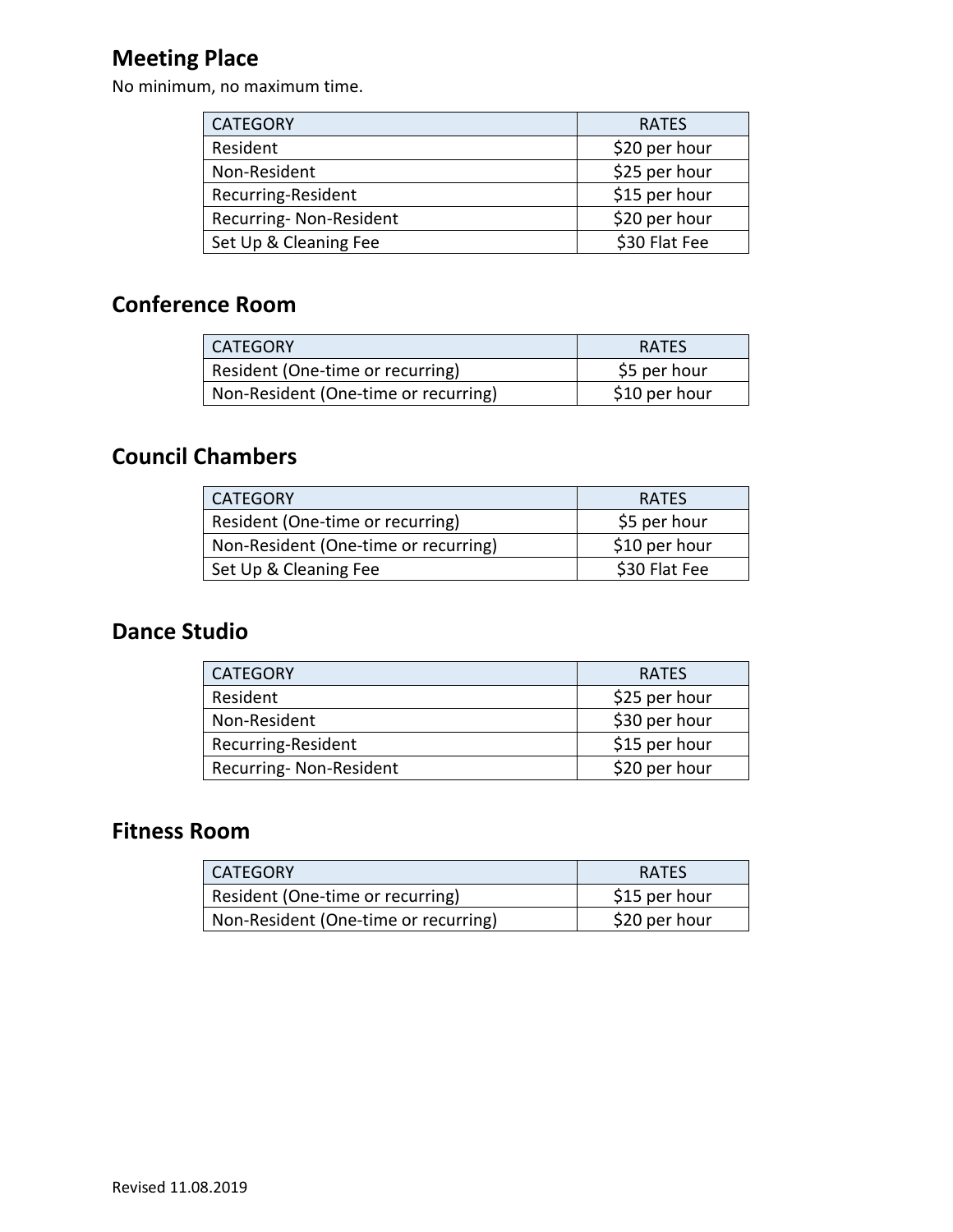# **Meeting Place**

No minimum, no maximum time.

| <b>CATEGORY</b>         | <b>RATES</b>  |
|-------------------------|---------------|
| Resident                | \$20 per hour |
| Non-Resident            | \$25 per hour |
| Recurring-Resident      | \$15 per hour |
| Recurring- Non-Resident | \$20 per hour |
| Set Up & Cleaning Fee   | \$30 Flat Fee |

## **Conference Room**

| <b>CATEGORY</b>                      | <b>RATES</b>  |
|--------------------------------------|---------------|
| Resident (One-time or recurring)     | \$5 per hour  |
| Non-Resident (One-time or recurring) | \$10 per hour |

#### **Council Chambers**

| <b>CATEGORY</b>                      | <b>RATES</b>  |
|--------------------------------------|---------------|
| Resident (One-time or recurring)     | \$5 per hour  |
| Non-Resident (One-time or recurring) | \$10 per hour |
| Set Up & Cleaning Fee                | \$30 Flat Fee |

# **Dance Studio**

| <b>CATEGORY</b>        | <b>RATES</b>  |
|------------------------|---------------|
| Resident               | \$25 per hour |
| Non-Resident           | \$30 per hour |
| Recurring-Resident     | \$15 per hour |
| Recurring-Non-Resident | \$20 per hour |

#### **Fitness Room**

| <b>CATEGORY</b>                      | <b>RATES</b>  |
|--------------------------------------|---------------|
| Resident (One-time or recurring)     | \$15 per hour |
| Non-Resident (One-time or recurring) | \$20 per hour |